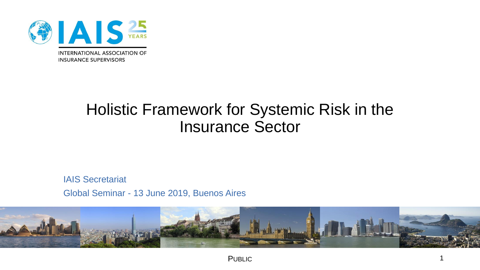

# Holistic Framework for Systemic Risk in the Insurance Sector

IAIS Secretariat Global Seminar - 13 June 2019, Buenos Aires

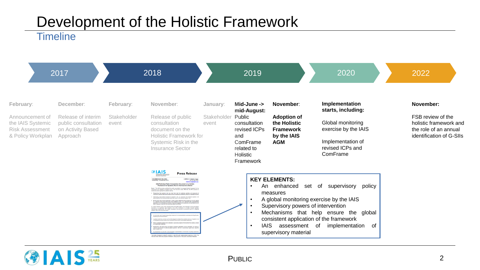# Development of the Holistic Framework

#### **Timeline**

| 2017                                                                                             |                                                                                         | 2018                              |                                                                                                                                                                                                                                                                                                                                                                                                                                                                                                                                                                                                                                                                                                                                                                                                                                                                                                                                                                                                                                                                                                                                                                                                                                                                                                                                                                                                                                                                                                                                                                                                                                                                                 | 2019                             |                                                                                                                                | 2020                                                                                             | 2022                                                                                                                                                                                                                           |                                                                                                               |
|--------------------------------------------------------------------------------------------------|-----------------------------------------------------------------------------------------|-----------------------------------|---------------------------------------------------------------------------------------------------------------------------------------------------------------------------------------------------------------------------------------------------------------------------------------------------------------------------------------------------------------------------------------------------------------------------------------------------------------------------------------------------------------------------------------------------------------------------------------------------------------------------------------------------------------------------------------------------------------------------------------------------------------------------------------------------------------------------------------------------------------------------------------------------------------------------------------------------------------------------------------------------------------------------------------------------------------------------------------------------------------------------------------------------------------------------------------------------------------------------------------------------------------------------------------------------------------------------------------------------------------------------------------------------------------------------------------------------------------------------------------------------------------------------------------------------------------------------------------------------------------------------------------------------------------------------------|----------------------------------|--------------------------------------------------------------------------------------------------------------------------------|--------------------------------------------------------------------------------------------------|--------------------------------------------------------------------------------------------------------------------------------------------------------------------------------------------------------------------------------|---------------------------------------------------------------------------------------------------------------|
| February:<br>Announcement of<br>the IAIS Systemic<br><b>Risk Assessment</b><br>& Policy Workplan | December:<br>Release of interim<br>public consultation<br>on Activity Based<br>Approach | February:<br>Stakeholder<br>event | November:<br>Release of public<br>consultation<br>document on the<br><b>Holistic Framework for</b><br>Systemic Risk in the<br><b>Insurance Sector</b>                                                                                                                                                                                                                                                                                                                                                                                                                                                                                                                                                                                                                                                                                                                                                                                                                                                                                                                                                                                                                                                                                                                                                                                                                                                                                                                                                                                                                                                                                                                           | January:<br>Stakeholder<br>event | Mid-June -><br>mid-August:<br>Public<br>consultation<br>revised ICPs<br>and<br>ComFrame<br>related to<br>Holistic<br>Framework | November:<br><b>Adoption of</b><br>the Holistic<br><b>Framework</b><br>by the IAIS<br><b>AGM</b> | Implementation<br>starts, including:<br>Global monitoring<br>exercise by the IAIS<br>Implementation of<br>revised ICPs and<br>ComFrame                                                                                         | November:<br>FSB review of the<br>holistic framework and<br>the role of an annual<br>identification of G-SIIs |
|                                                                                                  |                                                                                         |                                   | <b>@IAIS</b><br><b>Press Release</b><br>FOR IMMEDIATE RELEASE:<br>CONTACT: Stephen Hoggs<br>resday, 14 November 201<br>stephen.hogge@bis.or<br>IAIS Publishes Public Consultation Document on a Holistic<br>Framework for Systemic Risk in the Insurance Sector<br>Basel - The IAIS has today published for public consultation its areas<br>ation of systemic risk in the insurance sector. With this, the IAIS procoses<br>he its current approach to systemic risk by:<br>Recognising that systemic risk may arise from both the collective activities and exposures<br>Insurem at a sector-wide level as well as from the distress or disorderly failure of individual insurer<br>essing cross-sectoral aspects of systemic risk, by comparing the potential systemic ri<br>ming from the insurance sector with other parts of the financial system; and<br>- Moving away from a binary approach in which oertain additional policy measures are only agglied<br>to a relatively small group of insurers (the identified O-STIs), to an approach with a proportionate<br>application of an enhan<br>.<br>Besureert is a signification with IAIS Executive Committee stated: "The publication of this consultatio<br>Appropriately implemented, this holdsto framework will provide an enhanced bases for matalanistic<br>demic risk in the insurance sector<br>principals that hals amount the object consistent anotication of the framework for har<br>.<br>The holistic framework is slated for adoption in late 2019, with implementation beginning in 2020. Th<br>IAIS will further refine the proposed framework, taking account of the public consultation feedback. |                                  | $\bullet$<br>$\bullet$<br><b>IAIS</b><br>$\bullet$                                                                             | <b>KEY ELEMENTS:</b><br>An enhanced<br>measures<br>assessment of<br>supervisory material         | of<br>supervisory policy<br>set<br>A global monitoring exercise by the IAIS<br>Supervisory powers of intervention<br>Mechanisms that help ensure the global<br>consistent application of the framework<br>implementation<br>of |                                                                                                               |

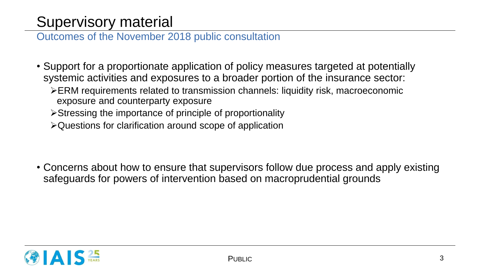## Supervisory material

Outcomes of the November 2018 public consultation

- Support for a proportionate application of policy measures targeted at potentially systemic activities and exposures to a broader portion of the insurance sector:
	- ERM requirements related to transmission channels: liquidity risk, macroeconomic exposure and counterparty exposure
	- Stressing the importance of principle of proportionality
	- Questions for clarification around scope of application

• Concerns about how to ensure that supervisors follow due process and apply existing safeguards for powers of intervention based on macroprudential grounds

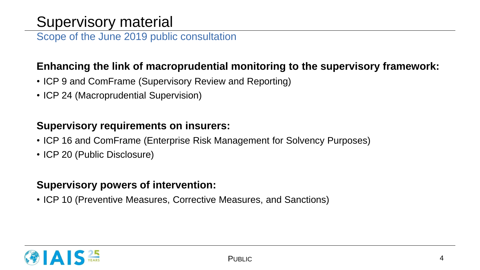## Supervisory material

Scope of the June 2019 public consultation

### **Enhancing the link of macroprudential monitoring to the supervisory framework:**

- ICP 9 and ComFrame (Supervisory Review and Reporting)
- ICP 24 (Macroprudential Supervision)

### **Supervisory requirements on insurers:**

- ICP 16 and ComFrame (Enterprise Risk Management for Solvency Purposes)
- ICP 20 (Public Disclosure)

### **Supervisory powers of intervention:**

• ICP 10 (Preventive Measures, Corrective Measures, and Sanctions)

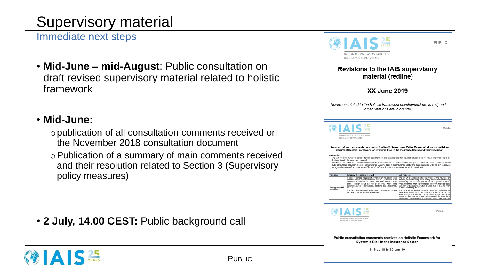# Supervisory material

Immediate next steps

• **Mid-June – mid-August**: Public consultation on draft revised supervisory material related to holistic framework

### • **Mid-June:**

- opublication of all consultation comments received on the November 2018 consultation document
- oPublication of a summary of main comments received and their resolution related to Section 3 (Supervisory policy measures)

• **2 July, 14.00 CEST:** Public background call

|                                                    |                                                                | INTERNATIONAL ASSOCIATION OF<br><b>INSURANCE SUPERVISORS</b>                                                                                                                                                                                                                                                                                                                                                                                                                                                                                                                                                                                                                                                                                                                                                                                          | <b>PUBLIC</b>                                                                                                                                                                                                                                                                                                                                                                                                                                                                                                                                                                                                                                                                                                                                                           |  |  |
|----------------------------------------------------|----------------------------------------------------------------|-------------------------------------------------------------------------------------------------------------------------------------------------------------------------------------------------------------------------------------------------------------------------------------------------------------------------------------------------------------------------------------------------------------------------------------------------------------------------------------------------------------------------------------------------------------------------------------------------------------------------------------------------------------------------------------------------------------------------------------------------------------------------------------------------------------------------------------------------------|-------------------------------------------------------------------------------------------------------------------------------------------------------------------------------------------------------------------------------------------------------------------------------------------------------------------------------------------------------------------------------------------------------------------------------------------------------------------------------------------------------------------------------------------------------------------------------------------------------------------------------------------------------------------------------------------------------------------------------------------------------------------------|--|--|
| tation on<br>d to holistic                         | <b>Revisions to the IAIS supervisory</b><br>material (redline) |                                                                                                                                                                                                                                                                                                                                                                                                                                                                                                                                                                                                                                                                                                                                                                                                                                                       |                                                                                                                                                                                                                                                                                                                                                                                                                                                                                                                                                                                                                                                                                                                                                                         |  |  |
|                                                    |                                                                | <b>XX June 2019</b>                                                                                                                                                                                                                                                                                                                                                                                                                                                                                                                                                                                                                                                                                                                                                                                                                                   |                                                                                                                                                                                                                                                                                                                                                                                                                                                                                                                                                                                                                                                                                                                                                                         |  |  |
|                                                    |                                                                | Revisions related to the holistic framework development are in red, and<br>other revisions are in orange.                                                                                                                                                                                                                                                                                                                                                                                                                                                                                                                                                                                                                                                                                                                                             |                                                                                                                                                                                                                                                                                                                                                                                                                                                                                                                                                                                                                                                                                                                                                                         |  |  |
| received on<br>ent<br>ents received<br>Supervisory | Introduction                                                   | INTERNATIONAL ASSOCIATION OF<br><b>INSURANCE SUPERVISORS</b><br>Summary of main comments received on Section 3 (Supervisory Policy Measures) of the consultation<br>document Holistic Framework for Systemic Risk in the Insurance Sector and their resolution<br>The IAIS received numerous comments from both Members and Stakeholders that provided valuable input for further improvements to the<br>draft revisions to the supervisory material<br>With this document the IAIS provides responses to the main comments received on Section 3 (Supervisory Policy Measures) of the November<br>2018 consultation document Holistic Framework for Systemic Risk in the Insurance Sector and their resolution, with the aim to provide<br>background on the draft revisions to the ICPs and ComFrame that are now presented for public consultation | <b>PUBLIC</b>                                                                                                                                                                                                                                                                                                                                                                                                                                                                                                                                                                                                                                                                                                                                                           |  |  |
|                                                    | Reference<br><b>Macro prudential</b><br>surveillance           | <b>Summary of comments received</b><br>In some responses, it appears that there might have been some confusion on the ultimate addressee of ICP 24, whether it is the<br>supervisor or the insurance sector. Also there appeared to be some confusion about the role of the IAIS, where some<br>stakeholders were concerned about additional data collections by<br>the IAIS.<br>There was a suggestion by some stakeholders to use ORSA as<br>the basis for the supervisor's assessment                                                                                                                                                                                                                                                                                                                                                              | <b>IAIS</b> response<br>The ICP 24 is addressed at the supervisor, not the insurers, For<br>instance, when discussing stress testing, it refers to stress testing<br>activities by the supervisor, not the insurer as part of its ERM.<br>Another example, when discussing data collection, it refers to data<br>collection by the supervisor within its jurisdiction. It does not refer<br>to data collection by the IAIS.<br>The ORSA serves a different purpose, which is for the insurer to<br>have better insight in its own risks and solvency, as part of<br>enterprise risk management. ORSAs also vary from insurer to<br>insurer, so they may not provide the necessary information for a<br>supervisor's macroprudential surveillance. Having said that, the |  |  |
| call                                               |                                                                | INTERNATIONAL ASSOCIATION OF<br>INSURANCE SUPERVISORS                                                                                                                                                                                                                                                                                                                                                                                                                                                                                                                                                                                                                                                                                                                                                                                                 | Public                                                                                                                                                                                                                                                                                                                                                                                                                                                                                                                                                                                                                                                                                                                                                                  |  |  |
|                                                    |                                                                | Public consultation comments received on Holistic Framework for<br><b>Systemic Risk in the Insurance Sector</b>                                                                                                                                                                                                                                                                                                                                                                                                                                                                                                                                                                                                                                                                                                                                       |                                                                                                                                                                                                                                                                                                                                                                                                                                                                                                                                                                                                                                                                                                                                                                         |  |  |
| <b>PUBLIC</b>                                      |                                                                | 14-Nov-18 to 30-Jan-19                                                                                                                                                                                                                                                                                                                                                                                                                                                                                                                                                                                                                                                                                                                                                                                                                                |                                                                                                                                                                                                                                                                                                                                                                                                                                                                                                                                                                                                                                                                                                                                                                         |  |  |

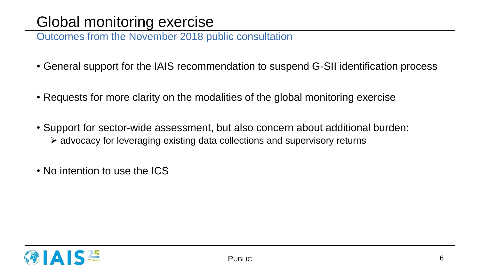## Global monitoring exercise

Outcomes from the November 2018 public consultation

- General support for the IAIS recommendation to suspend G-SII identification process
- Requests for more clarity on the modalities of the global monitoring exercise
- Support for sector-wide assessment, but also concern about additional burden: advocacy for leveraging existing data collections and supervisory returns
- No intention to use the ICS

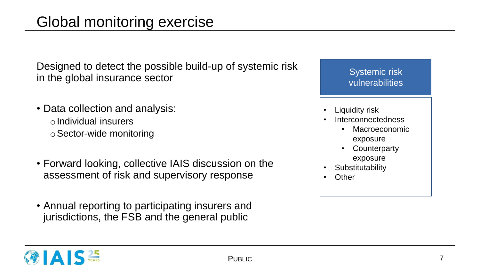Designed to detect the possible build-up of systemic risk in the global insurance sector

- Data collection and analysis:  $\circ$ Individual insurers oSector-wide monitoring
- Forward looking, collective IAIS discussion on the assessment of risk and supervisory response
- Annual reporting to participating insurers and jurisdictions, the FSB and the general public

| vulnerabilities       |
|-----------------------|
| <b>Liquidity risk</b> |
| Interconnectedness    |
| Macroeconomic         |
| exposure              |
| Counterparty          |
| exposure              |
| Substitutability      |
| Other                 |